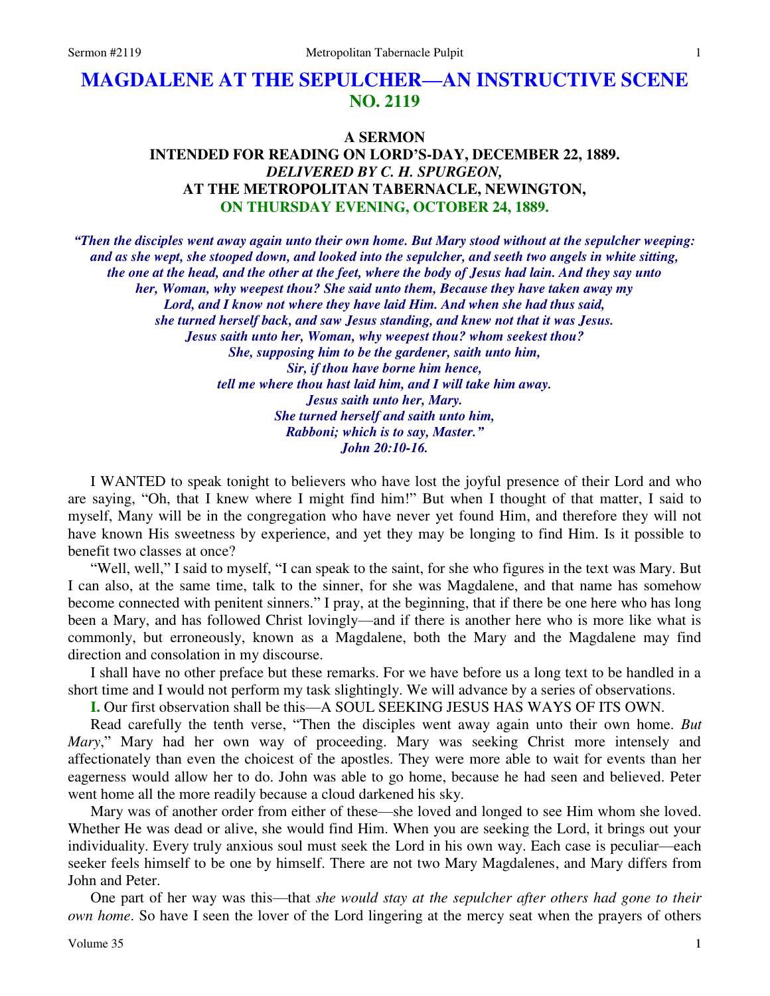# **MAGDALENE AT THE SEPULCHER—AN INSTRUCTIVE SCENE NO. 2119**

# **A SERMON INTENDED FOR READING ON LORD'S-DAY, DECEMBER 22, 1889.**  *DELIVERED BY C. H. SPURGEON,*  **AT THE METROPOLITAN TABERNACLE, NEWINGTON, ON THURSDAY EVENING, OCTOBER 24, 1889.**

*"Then the disciples went away again unto their own home. But Mary stood without at the sepulcher weeping: and as she wept, she stooped down, and looked into the sepulcher, and seeth two angels in white sitting, the one at the head, and the other at the feet, where the body of Jesus had lain. And they say unto her, Woman, why weepest thou? She said unto them, Because they have taken away my Lord, and I know not where they have laid Him. And when she had thus said, she turned herself back, and saw Jesus standing, and knew not that it was Jesus. Jesus saith unto her, Woman, why weepest thou? whom seekest thou? She, supposing him to be the gardener, saith unto him, Sir, if thou have borne him hence, tell me where thou hast laid him, and I will take him away. Jesus saith unto her, Mary. She turned herself and saith unto him, Rabboni; which is to say, Master." John 20:10-16.* 

I WANTED to speak tonight to believers who have lost the joyful presence of their Lord and who are saying, "Oh, that I knew where I might find him!" But when I thought of that matter, I said to myself, Many will be in the congregation who have never yet found Him, and therefore they will not have known His sweetness by experience, and yet they may be longing to find Him. Is it possible to benefit two classes at once?

"Well, well," I said to myself, "I can speak to the saint, for she who figures in the text was Mary. But I can also, at the same time, talk to the sinner, for she was Magdalene, and that name has somehow become connected with penitent sinners." I pray, at the beginning, that if there be one here who has long been a Mary, and has followed Christ lovingly—and if there is another here who is more like what is commonly, but erroneously, known as a Magdalene, both the Mary and the Magdalene may find direction and consolation in my discourse.

I shall have no other preface but these remarks. For we have before us a long text to be handled in a short time and I would not perform my task slightingly. We will advance by a series of observations.

**I.** Our first observation shall be this—A SOUL SEEKING JESUS HAS WAYS OF ITS OWN.

Read carefully the tenth verse, "Then the disciples went away again unto their own home. *But Mary*," Mary had her own way of proceeding. Mary was seeking Christ more intensely and affectionately than even the choicest of the apostles. They were more able to wait for events than her eagerness would allow her to do. John was able to go home, because he had seen and believed. Peter went home all the more readily because a cloud darkened his sky.

Mary was of another order from either of these—she loved and longed to see Him whom she loved. Whether He was dead or alive, she would find Him. When you are seeking the Lord, it brings out your individuality. Every truly anxious soul must seek the Lord in his own way. Each case is peculiar—each seeker feels himself to be one by himself. There are not two Mary Magdalenes, and Mary differs from John and Peter.

One part of her way was this—that *she would stay at the sepulcher after others had gone to their own home*. So have I seen the lover of the Lord lingering at the mercy seat when the prayers of others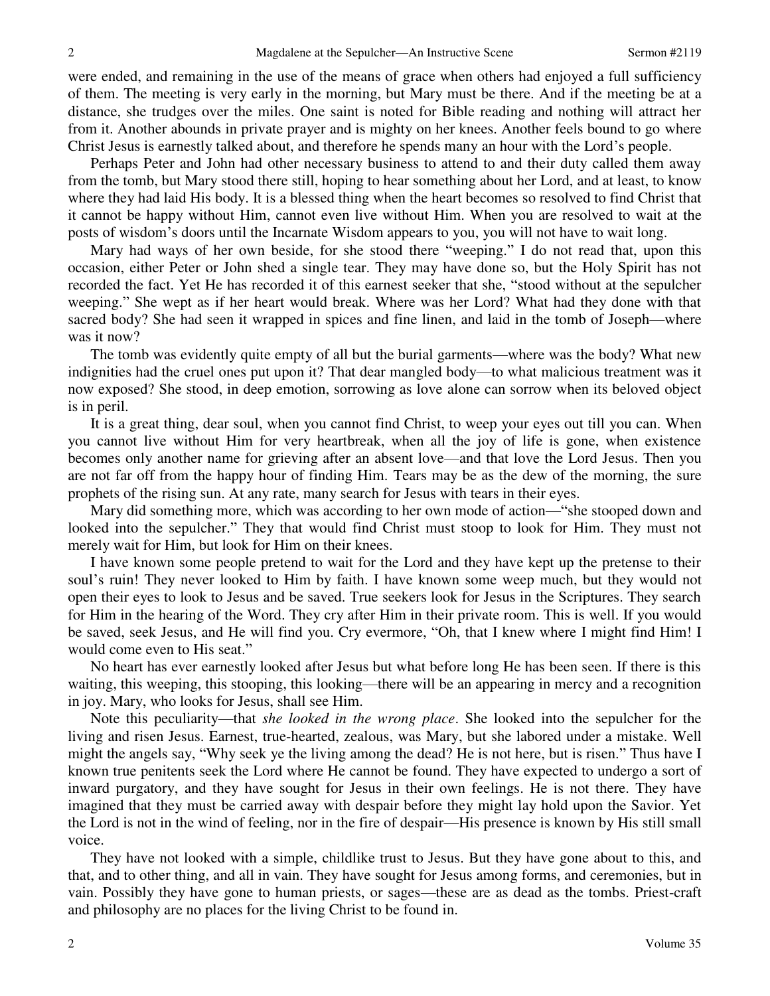were ended, and remaining in the use of the means of grace when others had enjoyed a full sufficiency of them. The meeting is very early in the morning, but Mary must be there. And if the meeting be at a distance, she trudges over the miles. One saint is noted for Bible reading and nothing will attract her from it. Another abounds in private prayer and is mighty on her knees. Another feels bound to go where Christ Jesus is earnestly talked about, and therefore he spends many an hour with the Lord's people.

Perhaps Peter and John had other necessary business to attend to and their duty called them away from the tomb, but Mary stood there still, hoping to hear something about her Lord, and at least, to know where they had laid His body. It is a blessed thing when the heart becomes so resolved to find Christ that it cannot be happy without Him, cannot even live without Him. When you are resolved to wait at the posts of wisdom's doors until the Incarnate Wisdom appears to you, you will not have to wait long.

Mary had ways of her own beside, for she stood there "weeping." I do not read that, upon this occasion, either Peter or John shed a single tear. They may have done so, but the Holy Spirit has not recorded the fact. Yet He has recorded it of this earnest seeker that she, "stood without at the sepulcher weeping." She wept as if her heart would break. Where was her Lord? What had they done with that sacred body? She had seen it wrapped in spices and fine linen, and laid in the tomb of Joseph—where was it now?

The tomb was evidently quite empty of all but the burial garments—where was the body? What new indignities had the cruel ones put upon it? That dear mangled body—to what malicious treatment was it now exposed? She stood, in deep emotion, sorrowing as love alone can sorrow when its beloved object is in peril.

It is a great thing, dear soul, when you cannot find Christ, to weep your eyes out till you can. When you cannot live without Him for very heartbreak, when all the joy of life is gone, when existence becomes only another name for grieving after an absent love—and that love the Lord Jesus. Then you are not far off from the happy hour of finding Him. Tears may be as the dew of the morning, the sure prophets of the rising sun. At any rate, many search for Jesus with tears in their eyes.

Mary did something more, which was according to her own mode of action—"she stooped down and looked into the sepulcher." They that would find Christ must stoop to look for Him. They must not merely wait for Him, but look for Him on their knees.

I have known some people pretend to wait for the Lord and they have kept up the pretense to their soul's ruin! They never looked to Him by faith. I have known some weep much, but they would not open their eyes to look to Jesus and be saved. True seekers look for Jesus in the Scriptures. They search for Him in the hearing of the Word. They cry after Him in their private room. This is well. If you would be saved, seek Jesus, and He will find you. Cry evermore, "Oh, that I knew where I might find Him! I would come even to His seat."

No heart has ever earnestly looked after Jesus but what before long He has been seen. If there is this waiting, this weeping, this stooping, this looking—there will be an appearing in mercy and a recognition in joy. Mary, who looks for Jesus, shall see Him.

Note this peculiarity—that *she looked in the wrong place*. She looked into the sepulcher for the living and risen Jesus. Earnest, true-hearted, zealous, was Mary, but she labored under a mistake. Well might the angels say, "Why seek ye the living among the dead? He is not here, but is risen." Thus have I known true penitents seek the Lord where He cannot be found. They have expected to undergo a sort of inward purgatory, and they have sought for Jesus in their own feelings. He is not there. They have imagined that they must be carried away with despair before they might lay hold upon the Savior. Yet the Lord is not in the wind of feeling, nor in the fire of despair—His presence is known by His still small voice.

They have not looked with a simple, childlike trust to Jesus. But they have gone about to this, and that, and to other thing, and all in vain. They have sought for Jesus among forms, and ceremonies, but in vain. Possibly they have gone to human priests, or sages—these are as dead as the tombs. Priest-craft and philosophy are no places for the living Christ to be found in.

2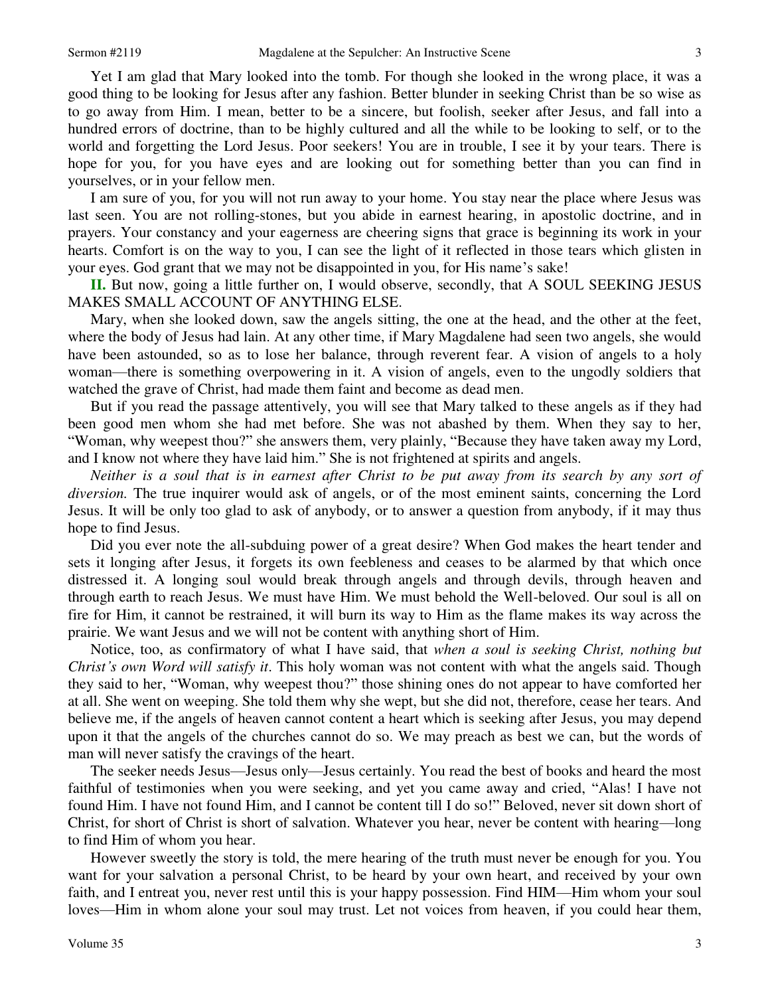Yet I am glad that Mary looked into the tomb. For though she looked in the wrong place, it was a good thing to be looking for Jesus after any fashion. Better blunder in seeking Christ than be so wise as to go away from Him. I mean, better to be a sincere, but foolish, seeker after Jesus, and fall into a

hundred errors of doctrine, than to be highly cultured and all the while to be looking to self, or to the world and forgetting the Lord Jesus. Poor seekers! You are in trouble, I see it by your tears. There is hope for you, for you have eyes and are looking out for something better than you can find in yourselves, or in your fellow men.

I am sure of you, for you will not run away to your home. You stay near the place where Jesus was last seen. You are not rolling-stones, but you abide in earnest hearing, in apostolic doctrine, and in prayers. Your constancy and your eagerness are cheering signs that grace is beginning its work in your hearts. Comfort is on the way to you, I can see the light of it reflected in those tears which glisten in your eyes. God grant that we may not be disappointed in you, for His name's sake!

**II.** But now, going a little further on, I would observe, secondly, that A SOUL SEEKING JESUS MAKES SMALL ACCOUNT OF ANYTHING ELSE.

Mary, when she looked down, saw the angels sitting, the one at the head, and the other at the feet, where the body of Jesus had lain. At any other time, if Mary Magdalene had seen two angels, she would have been astounded, so as to lose her balance, through reverent fear. A vision of angels to a holy woman—there is something overpowering in it. A vision of angels, even to the ungodly soldiers that watched the grave of Christ, had made them faint and become as dead men.

But if you read the passage attentively, you will see that Mary talked to these angels as if they had been good men whom she had met before. She was not abashed by them. When they say to her, "Woman, why weepest thou?" she answers them, very plainly, "Because they have taken away my Lord, and I know not where they have laid him." She is not frightened at spirits and angels.

*Neither is a soul that is in earnest after Christ to be put away from its search by any sort of diversion.* The true inquirer would ask of angels, or of the most eminent saints, concerning the Lord Jesus. It will be only too glad to ask of anybody, or to answer a question from anybody, if it may thus hope to find Jesus.

Did you ever note the all-subduing power of a great desire? When God makes the heart tender and sets it longing after Jesus, it forgets its own feebleness and ceases to be alarmed by that which once distressed it. A longing soul would break through angels and through devils, through heaven and through earth to reach Jesus. We must have Him. We must behold the Well-beloved. Our soul is all on fire for Him, it cannot be restrained, it will burn its way to Him as the flame makes its way across the prairie. We want Jesus and we will not be content with anything short of Him.

Notice, too, as confirmatory of what I have said, that *when a soul is seeking Christ, nothing but Christ's own Word will satisfy it*. This holy woman was not content with what the angels said. Though they said to her, "Woman, why weepest thou?" those shining ones do not appear to have comforted her at all. She went on weeping. She told them why she wept, but she did not, therefore, cease her tears. And believe me, if the angels of heaven cannot content a heart which is seeking after Jesus, you may depend upon it that the angels of the churches cannot do so. We may preach as best we can, but the words of man will never satisfy the cravings of the heart.

The seeker needs Jesus—Jesus only—Jesus certainly. You read the best of books and heard the most faithful of testimonies when you were seeking, and yet you came away and cried, "Alas! I have not found Him. I have not found Him, and I cannot be content till I do so!" Beloved, never sit down short of Christ, for short of Christ is short of salvation. Whatever you hear, never be content with hearing—long to find Him of whom you hear.

However sweetly the story is told, the mere hearing of the truth must never be enough for you. You want for your salvation a personal Christ, to be heard by your own heart, and received by your own faith, and I entreat you, never rest until this is your happy possession. Find HIM—Him whom your soul loves—Him in whom alone your soul may trust. Let not voices from heaven, if you could hear them,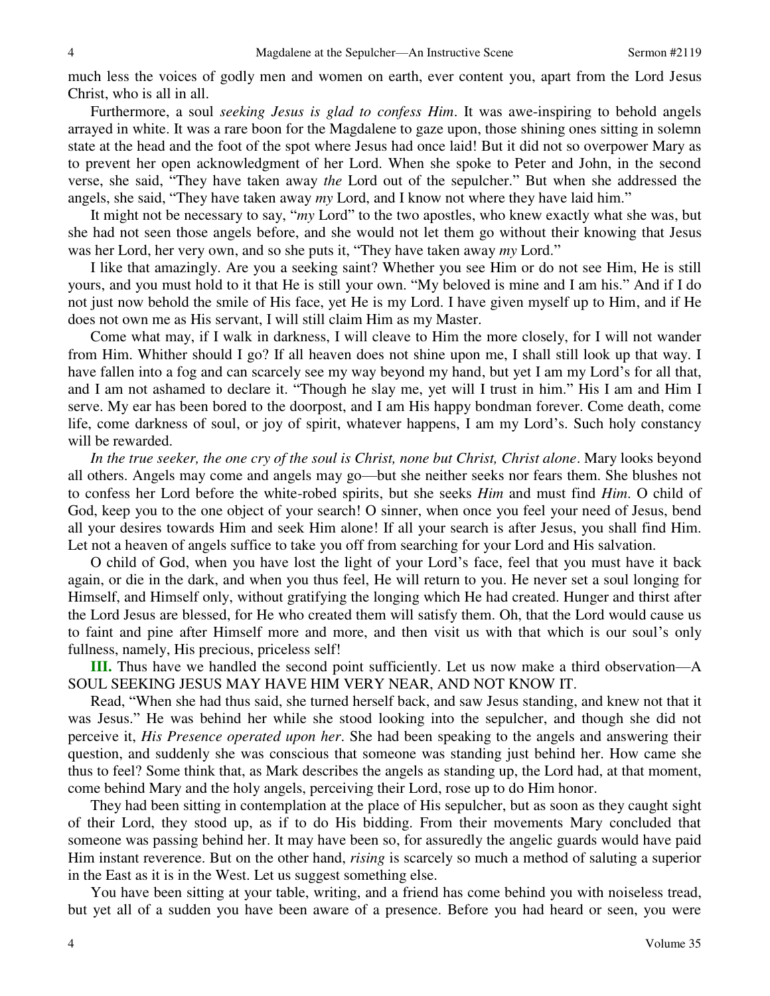much less the voices of godly men and women on earth, ever content you, apart from the Lord Jesus Christ, who is all in all.

Furthermore, a soul *seeking Jesus is glad to confess Him*. It was awe-inspiring to behold angels arrayed in white. It was a rare boon for the Magdalene to gaze upon, those shining ones sitting in solemn state at the head and the foot of the spot where Jesus had once laid! But it did not so overpower Mary as to prevent her open acknowledgment of her Lord. When she spoke to Peter and John, in the second verse, she said, "They have taken away *the* Lord out of the sepulcher." But when she addressed the angels, she said, "They have taken away *my* Lord, and I know not where they have laid him."

It might not be necessary to say, "*my* Lord" to the two apostles, who knew exactly what she was, but she had not seen those angels before, and she would not let them go without their knowing that Jesus was her Lord, her very own, and so she puts it, "They have taken away *my* Lord."

I like that amazingly. Are you a seeking saint? Whether you see Him or do not see Him, He is still yours, and you must hold to it that He is still your own. "My beloved is mine and I am his." And if I do not just now behold the smile of His face, yet He is my Lord. I have given myself up to Him, and if He does not own me as His servant, I will still claim Him as my Master.

Come what may, if I walk in darkness, I will cleave to Him the more closely, for I will not wander from Him. Whither should I go? If all heaven does not shine upon me, I shall still look up that way. I have fallen into a fog and can scarcely see my way beyond my hand, but yet I am my Lord's for all that, and I am not ashamed to declare it. "Though he slay me, yet will I trust in him." His I am and Him I serve. My ear has been bored to the doorpost, and I am His happy bondman forever. Come death, come life, come darkness of soul, or joy of spirit, whatever happens, I am my Lord's. Such holy constancy will be rewarded.

In the true seeker, the one cry of the soul is Christ, none but Christ, Christ alone. Mary looks beyond all others. Angels may come and angels may go—but she neither seeks nor fears them. She blushes not to confess her Lord before the white-robed spirits, but she seeks *Him* and must find *Him*. O child of God, keep you to the one object of your search! O sinner, when once you feel your need of Jesus, bend all your desires towards Him and seek Him alone! If all your search is after Jesus, you shall find Him. Let not a heaven of angels suffice to take you off from searching for your Lord and His salvation.

O child of God, when you have lost the light of your Lord's face, feel that you must have it back again, or die in the dark, and when you thus feel, He will return to you. He never set a soul longing for Himself, and Himself only, without gratifying the longing which He had created. Hunger and thirst after the Lord Jesus are blessed, for He who created them will satisfy them. Oh, that the Lord would cause us to faint and pine after Himself more and more, and then visit us with that which is our soul's only fullness, namely, His precious, priceless self!

**III.** Thus have we handled the second point sufficiently. Let us now make a third observation—A SOUL SEEKING JESUS MAY HAVE HIM VERY NEAR, AND NOT KNOW IT.

Read, "When she had thus said, she turned herself back, and saw Jesus standing, and knew not that it was Jesus." He was behind her while she stood looking into the sepulcher, and though she did not perceive it, *His Presence operated upon her*. She had been speaking to the angels and answering their question, and suddenly she was conscious that someone was standing just behind her. How came she thus to feel? Some think that, as Mark describes the angels as standing up, the Lord had, at that moment, come behind Mary and the holy angels, perceiving their Lord, rose up to do Him honor.

They had been sitting in contemplation at the place of His sepulcher, but as soon as they caught sight of their Lord, they stood up, as if to do His bidding. From their movements Mary concluded that someone was passing behind her. It may have been so, for assuredly the angelic guards would have paid Him instant reverence. But on the other hand, *rising* is scarcely so much a method of saluting a superior in the East as it is in the West. Let us suggest something else.

You have been sitting at your table, writing, and a friend has come behind you with noiseless tread, but yet all of a sudden you have been aware of a presence. Before you had heard or seen, you were

4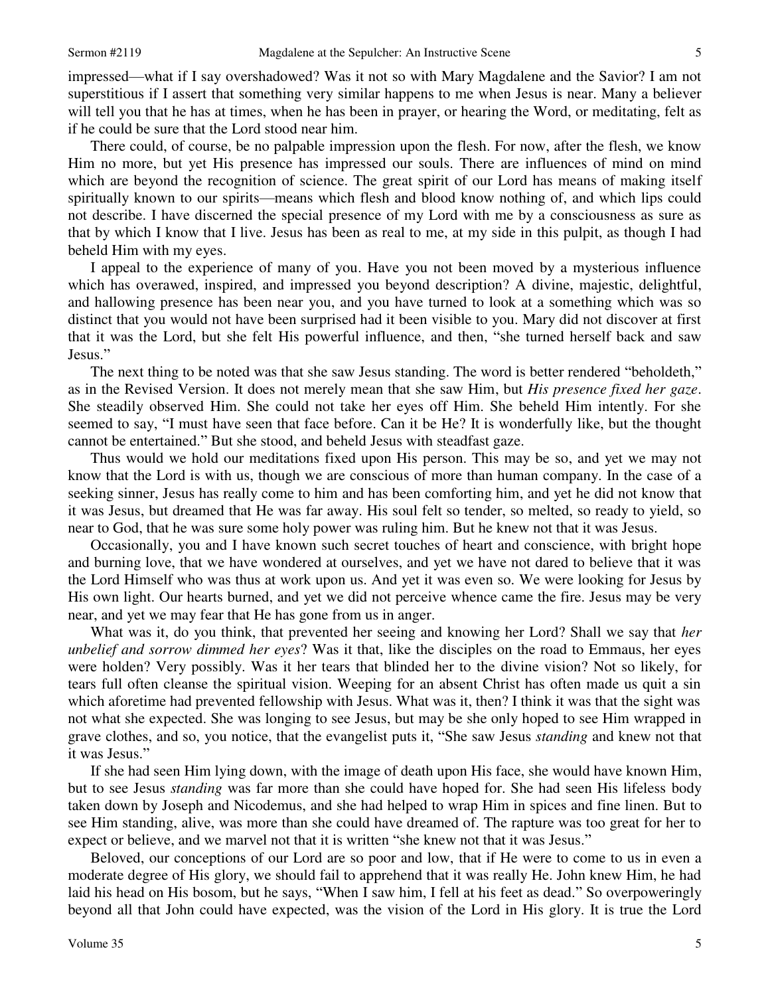impressed—what if I say overshadowed? Was it not so with Mary Magdalene and the Savior? I am not superstitious if I assert that something very similar happens to me when Jesus is near. Many a believer will tell you that he has at times, when he has been in prayer, or hearing the Word, or meditating, felt as if he could be sure that the Lord stood near him.

There could, of course, be no palpable impression upon the flesh. For now, after the flesh, we know Him no more, but yet His presence has impressed our souls. There are influences of mind on mind which are beyond the recognition of science. The great spirit of our Lord has means of making itself spiritually known to our spirits—means which flesh and blood know nothing of, and which lips could not describe. I have discerned the special presence of my Lord with me by a consciousness as sure as that by which I know that I live. Jesus has been as real to me, at my side in this pulpit, as though I had beheld Him with my eyes.

I appeal to the experience of many of you. Have you not been moved by a mysterious influence which has overawed, inspired, and impressed you beyond description? A divine, majestic, delightful, and hallowing presence has been near you, and you have turned to look at a something which was so distinct that you would not have been surprised had it been visible to you. Mary did not discover at first that it was the Lord, but she felt His powerful influence, and then, "she turned herself back and saw Jesus."

The next thing to be noted was that she saw Jesus standing. The word is better rendered "beholdeth," as in the Revised Version. It does not merely mean that she saw Him, but *His presence fixed her gaze*. She steadily observed Him. She could not take her eyes off Him. She beheld Him intently. For she seemed to say, "I must have seen that face before. Can it be He? It is wonderfully like, but the thought cannot be entertained." But she stood, and beheld Jesus with steadfast gaze.

Thus would we hold our meditations fixed upon His person. This may be so, and yet we may not know that the Lord is with us, though we are conscious of more than human company. In the case of a seeking sinner, Jesus has really come to him and has been comforting him, and yet he did not know that it was Jesus, but dreamed that He was far away. His soul felt so tender, so melted, so ready to yield, so near to God, that he was sure some holy power was ruling him. But he knew not that it was Jesus.

Occasionally, you and I have known such secret touches of heart and conscience, with bright hope and burning love, that we have wondered at ourselves, and yet we have not dared to believe that it was the Lord Himself who was thus at work upon us. And yet it was even so. We were looking for Jesus by His own light. Our hearts burned, and yet we did not perceive whence came the fire. Jesus may be very near, and yet we may fear that He has gone from us in anger.

What was it, do you think, that prevented her seeing and knowing her Lord? Shall we say that *her unbelief and sorrow dimmed her eyes*? Was it that, like the disciples on the road to Emmaus, her eyes were holden? Very possibly. Was it her tears that blinded her to the divine vision? Not so likely, for tears full often cleanse the spiritual vision. Weeping for an absent Christ has often made us quit a sin which aforetime had prevented fellowship with Jesus. What was it, then? I think it was that the sight was not what she expected. She was longing to see Jesus, but may be she only hoped to see Him wrapped in grave clothes, and so, you notice, that the evangelist puts it, "She saw Jesus *standing* and knew not that it was Jesus."

 If she had seen Him lying down, with the image of death upon His face, she would have known Him, but to see Jesus *standing* was far more than she could have hoped for. She had seen His lifeless body taken down by Joseph and Nicodemus, and she had helped to wrap Him in spices and fine linen. But to see Him standing, alive, was more than she could have dreamed of. The rapture was too great for her to expect or believe, and we marvel not that it is written "she knew not that it was Jesus."

Beloved, our conceptions of our Lord are so poor and low, that if He were to come to us in even a moderate degree of His glory, we should fail to apprehend that it was really He. John knew Him, he had laid his head on His bosom, but he says, "When I saw him, I fell at his feet as dead." So overpoweringly beyond all that John could have expected, was the vision of the Lord in His glory. It is true the Lord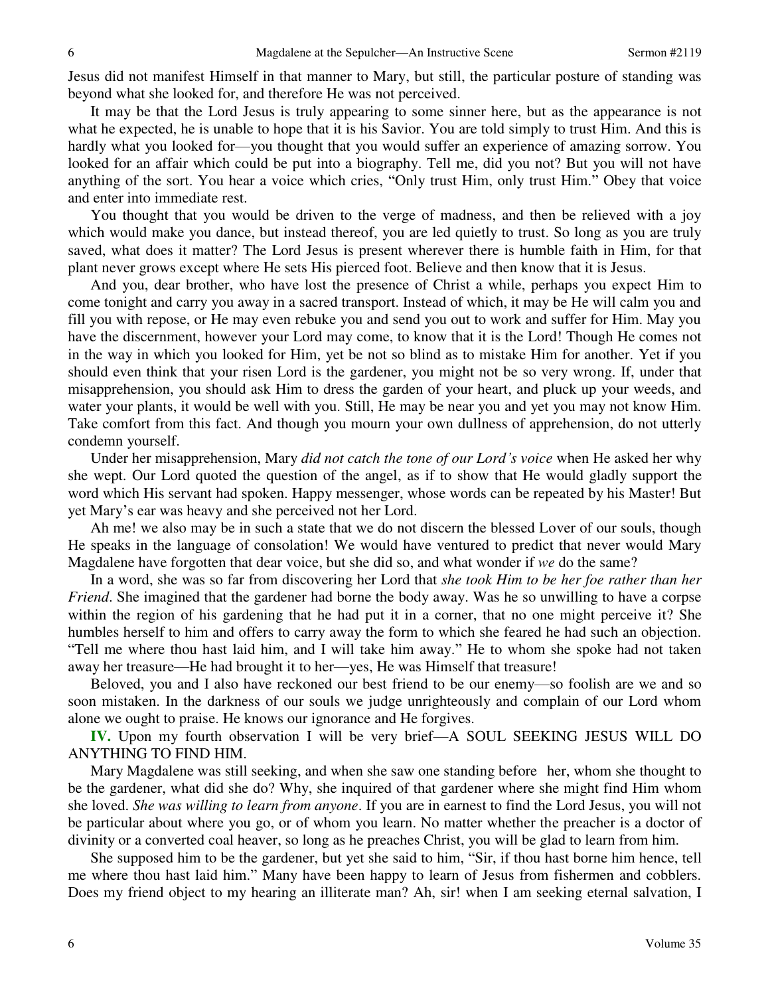Jesus did not manifest Himself in that manner to Mary, but still, the particular posture of standing was beyond what she looked for, and therefore He was not perceived.

It may be that the Lord Jesus is truly appearing to some sinner here, but as the appearance is not what he expected, he is unable to hope that it is his Savior. You are told simply to trust Him. And this is hardly what you looked for—you thought that you would suffer an experience of amazing sorrow. You looked for an affair which could be put into a biography. Tell me, did you not? But you will not have anything of the sort. You hear a voice which cries, "Only trust Him, only trust Him." Obey that voice and enter into immediate rest.

You thought that you would be driven to the verge of madness, and then be relieved with a joy which would make you dance, but instead thereof, you are led quietly to trust. So long as you are truly saved, what does it matter? The Lord Jesus is present wherever there is humble faith in Him, for that plant never grows except where He sets His pierced foot. Believe and then know that it is Jesus.

And you, dear brother, who have lost the presence of Christ a while, perhaps you expect Him to come tonight and carry you away in a sacred transport. Instead of which, it may be He will calm you and fill you with repose, or He may even rebuke you and send you out to work and suffer for Him. May you have the discernment, however your Lord may come, to know that it is the Lord! Though He comes not in the way in which you looked for Him, yet be not so blind as to mistake Him for another. Yet if you should even think that your risen Lord is the gardener, you might not be so very wrong. If, under that misapprehension, you should ask Him to dress the garden of your heart, and pluck up your weeds, and water your plants, it would be well with you. Still, He may be near you and yet you may not know Him. Take comfort from this fact. And though you mourn your own dullness of apprehension, do not utterly condemn yourself.

Under her misapprehension, Mary *did not catch the tone of our Lord's voice* when He asked her why she wept. Our Lord quoted the question of the angel, as if to show that He would gladly support the word which His servant had spoken. Happy messenger, whose words can be repeated by his Master! But yet Mary's ear was heavy and she perceived not her Lord.

Ah me! we also may be in such a state that we do not discern the blessed Lover of our souls, though He speaks in the language of consolation! We would have ventured to predict that never would Mary Magdalene have forgotten that dear voice, but she did so, and what wonder if *we* do the same?

In a word, she was so far from discovering her Lord that *she took Him to be her foe rather than her Friend*. She imagined that the gardener had borne the body away. Was he so unwilling to have a corpse within the region of his gardening that he had put it in a corner, that no one might perceive it? She humbles herself to him and offers to carry away the form to which she feared he had such an objection. "Tell me where thou hast laid him, and I will take him away." He to whom she spoke had not taken away her treasure—He had brought it to her—yes, He was Himself that treasure!

Beloved, you and I also have reckoned our best friend to be our enemy—so foolish are we and so soon mistaken. In the darkness of our souls we judge unrighteously and complain of our Lord whom alone we ought to praise. He knows our ignorance and He forgives.

**IV.** Upon my fourth observation I will be very brief—A SOUL SEEKING JESUS WILL DO ANYTHING TO FIND HIM.

Mary Magdalene was still seeking, and when she saw one standing before her, whom she thought to be the gardener, what did she do? Why, she inquired of that gardener where she might find Him whom she loved. *She was willing to learn from anyone*. If you are in earnest to find the Lord Jesus, you will not be particular about where you go, or of whom you learn. No matter whether the preacher is a doctor of divinity or a converted coal heaver, so long as he preaches Christ, you will be glad to learn from him.

She supposed him to be the gardener, but yet she said to him, "Sir, if thou hast borne him hence, tell me where thou hast laid him." Many have been happy to learn of Jesus from fishermen and cobblers. Does my friend object to my hearing an illiterate man? Ah, sir! when I am seeking eternal salvation, I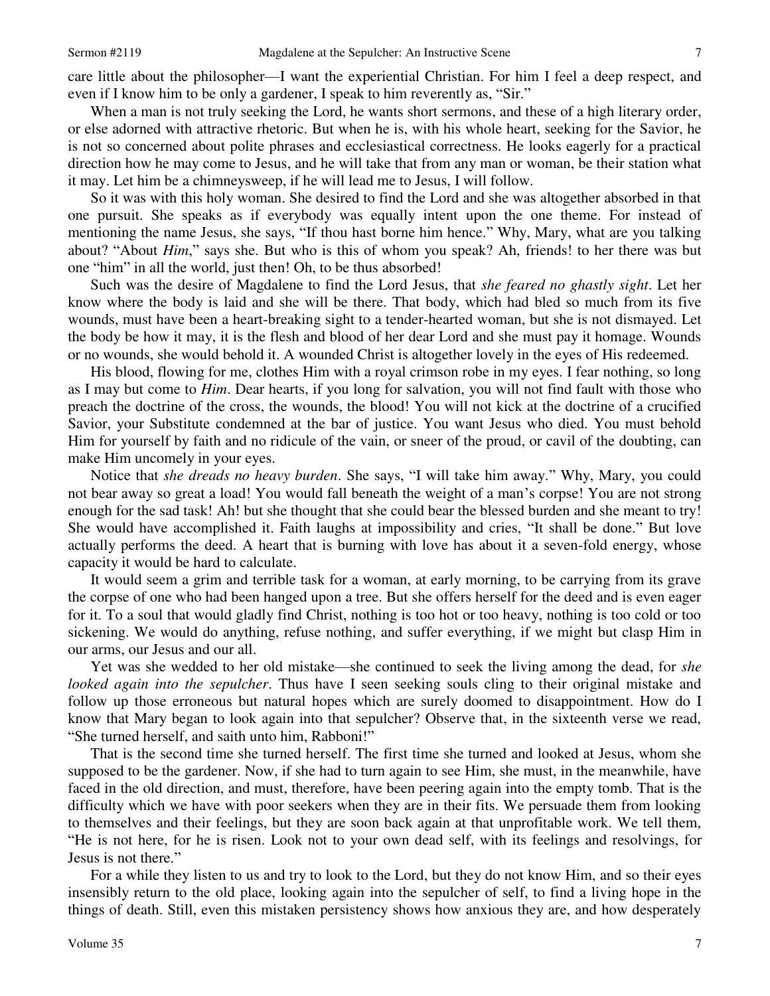care little about the philosopher—I want the experiential Christian. For him I feel a deep respect, and even if I know him to be only a gardener, I speak to him reverently as, "Sir."

When a man is not truly seeking the Lord, he wants short sermons, and these of a high literary order, or else adorned with attractive rhetoric. But when he is, with his whole heart, seeking for the Savior, he is not so concerned about polite phrases and ecclesiastical correctness. He looks eagerly for a practical direction how he may come to Jesus, and he will take that from any man or woman, be their station what it may. Let him be a chimneysweep, if he will lead me to Jesus, I will follow.

So it was with this holy woman. She desired to find the Lord and she was altogether absorbed in that one pursuit. She speaks as if everybody was equally intent upon the one theme. For instead of mentioning the name Jesus, she says, "If thou hast borne him hence." Why, Mary, what are you talking about? "About *Him*," says she. But who is this of whom you speak? Ah, friends! to her there was but one "him" in all the world, just then! Oh, to be thus absorbed!

Such was the desire of Magdalene to find the Lord Jesus, that *she feared no ghastly sight*. Let her know where the body is laid and she will be there. That body, which had bled so much from its five wounds, must have been a heart-breaking sight to a tender-hearted woman, but she is not dismayed. Let the body be how it may, it is the flesh and blood of her dear Lord and she must pay it homage. Wounds or no wounds, she would behold it. A wounded Christ is altogether lovely in the eyes of His redeemed.

His blood, flowing for me, clothes Him with a royal crimson robe in my eyes. I fear nothing, so long as I may but come to *Him*. Dear hearts, if you long for salvation, you will not find fault with those who preach the doctrine of the cross, the wounds, the blood! You will not kick at the doctrine of a crucified Savior, your Substitute condemned at the bar of justice. You want Jesus who died. You must behold Him for yourself by faith and no ridicule of the vain, or sneer of the proud, or cavil of the doubting, can make Him uncomely in your eyes.

Notice that *she dreads no heavy burden*. She says, "I will take him away." Why, Mary, you could not bear away so great a load! You would fall beneath the weight of a man's corpse! You are not strong enough for the sad task! Ah! but she thought that she could bear the blessed burden and she meant to try! She would have accomplished it. Faith laughs at impossibility and cries, "It shall be done." But love actually performs the deed. A heart that is burning with love has about it a seven-fold energy, whose capacity it would be hard to calculate.

It would seem a grim and terrible task for a woman, at early morning, to be carrying from its grave the corpse of one who had been hanged upon a tree. But she offers herself for the deed and is even eager for it. To a soul that would gladly find Christ, nothing is too hot or too heavy, nothing is too cold or too sickening. We would do anything, refuse nothing, and suffer everything, if we might but clasp Him in our arms, our Jesus and our all.

Yet was she wedded to her old mistake—she continued to seek the living among the dead, for *she looked again into the sepulcher*. Thus have I seen seeking souls cling to their original mistake and follow up those erroneous but natural hopes which are surely doomed to disappointment. How do I know that Mary began to look again into that sepulcher? Observe that, in the sixteenth verse we read, "She turned herself, and saith unto him, Rabboni!"

That is the second time she turned herself. The first time she turned and looked at Jesus, whom she supposed to be the gardener. Now, if she had to turn again to see Him, she must, in the meanwhile, have faced in the old direction, and must, therefore, have been peering again into the empty tomb. That is the difficulty which we have with poor seekers when they are in their fits. We persuade them from looking to themselves and their feelings, but they are soon back again at that unprofitable work. We tell them, "He is not here, for he is risen. Look not to your own dead self, with its feelings and resolvings, for Jesus is not there."

For a while they listen to us and try to look to the Lord, but they do not know Him, and so their eyes insensibly return to the old place, looking again into the sepulcher of self, to find a living hope in the things of death. Still, even this mistaken persistency shows how anxious they are, and how desperately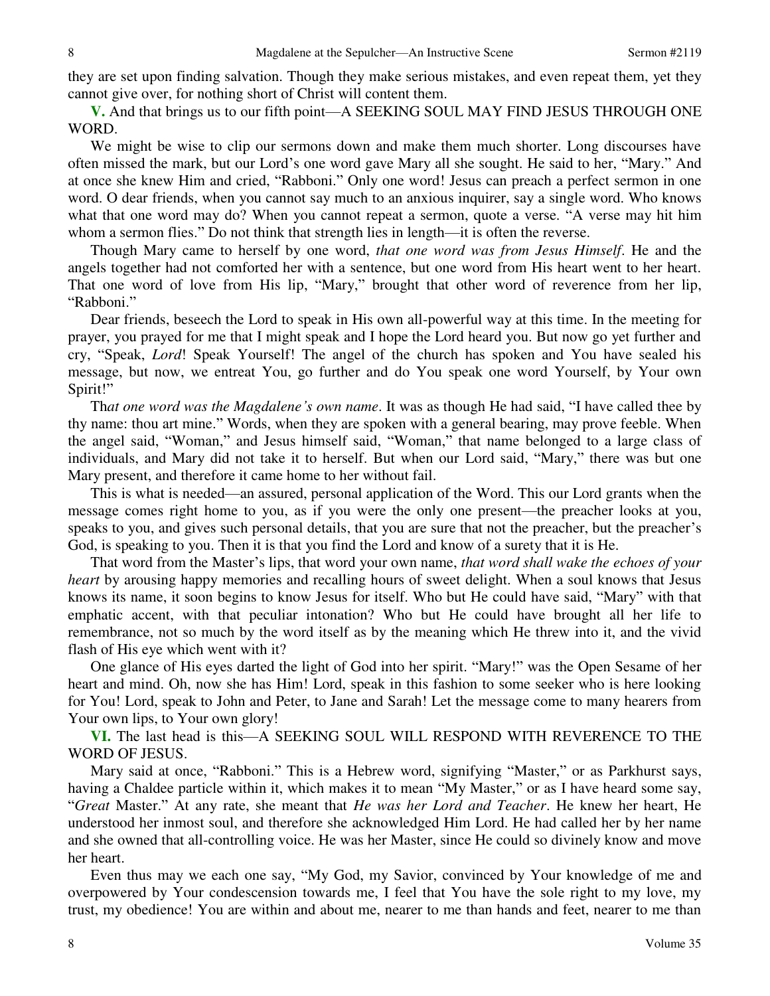8

they are set upon finding salvation. Though they make serious mistakes, and even repeat them, yet they cannot give over, for nothing short of Christ will content them.

**V.** And that brings us to our fifth point—A SEEKING SOUL MAY FIND JESUS THROUGH ONE WORD.

We might be wise to clip our sermons down and make them much shorter. Long discourses have often missed the mark, but our Lord's one word gave Mary all she sought. He said to her, "Mary." And at once she knew Him and cried, "Rabboni." Only one word! Jesus can preach a perfect sermon in one word. O dear friends, when you cannot say much to an anxious inquirer, say a single word. Who knows what that one word may do? When you cannot repeat a sermon, quote a verse. "A verse may hit him whom a sermon flies." Do not think that strength lies in length—it is often the reverse.

Though Mary came to herself by one word, *that one word was from Jesus Himself*. He and the angels together had not comforted her with a sentence, but one word from His heart went to her heart. That one word of love from His lip, "Mary," brought that other word of reverence from her lip, "Rabboni."

Dear friends, beseech the Lord to speak in His own all-powerful way at this time. In the meeting for prayer, you prayed for me that I might speak and I hope the Lord heard you. But now go yet further and cry, "Speak, *Lord*! Speak Yourself! The angel of the church has spoken and You have sealed his message, but now, we entreat You, go further and do You speak one word Yourself, by Your own Spirit!"

Th*at one word was the Magdalene's own name*. It was as though He had said, "I have called thee by thy name: thou art mine." Words, when they are spoken with a general bearing, may prove feeble. When the angel said, "Woman," and Jesus himself said, "Woman," that name belonged to a large class of individuals, and Mary did not take it to herself. But when our Lord said, "Mary," there was but one Mary present, and therefore it came home to her without fail.

This is what is needed—an assured, personal application of the Word. This our Lord grants when the message comes right home to you, as if you were the only one present—the preacher looks at you, speaks to you, and gives such personal details, that you are sure that not the preacher, but the preacher's God, is speaking to you. Then it is that you find the Lord and know of a surety that it is He.

That word from the Master's lips, that word your own name, *that word shall wake the echoes of your heart* by arousing happy memories and recalling hours of sweet delight. When a soul knows that Jesus knows its name, it soon begins to know Jesus for itself. Who but He could have said, "Mary" with that emphatic accent, with that peculiar intonation? Who but He could have brought all her life to remembrance, not so much by the word itself as by the meaning which He threw into it, and the vivid flash of His eye which went with it?

One glance of His eyes darted the light of God into her spirit. "Mary!" was the Open Sesame of her heart and mind. Oh, now she has Him! Lord, speak in this fashion to some seeker who is here looking for You! Lord, speak to John and Peter, to Jane and Sarah! Let the message come to many hearers from Your own lips, to Your own glory!

**VI.** The last head is this—A SEEKING SOUL WILL RESPOND WITH REVERENCE TO THE WORD OF JESUS.

Mary said at once, "Rabboni." This is a Hebrew word, signifying "Master," or as Parkhurst says, having a Chaldee particle within it, which makes it to mean "My Master," or as I have heard some say, "*Great* Master." At any rate, she meant that *He was her Lord and Teacher*. He knew her heart, He understood her inmost soul, and therefore she acknowledged Him Lord. He had called her by her name and she owned that all-controlling voice. He was her Master, since He could so divinely know and move her heart.

Even thus may we each one say, "My God, my Savior, convinced by Your knowledge of me and overpowered by Your condescension towards me, I feel that You have the sole right to my love, my trust, my obedience! You are within and about me, nearer to me than hands and feet, nearer to me than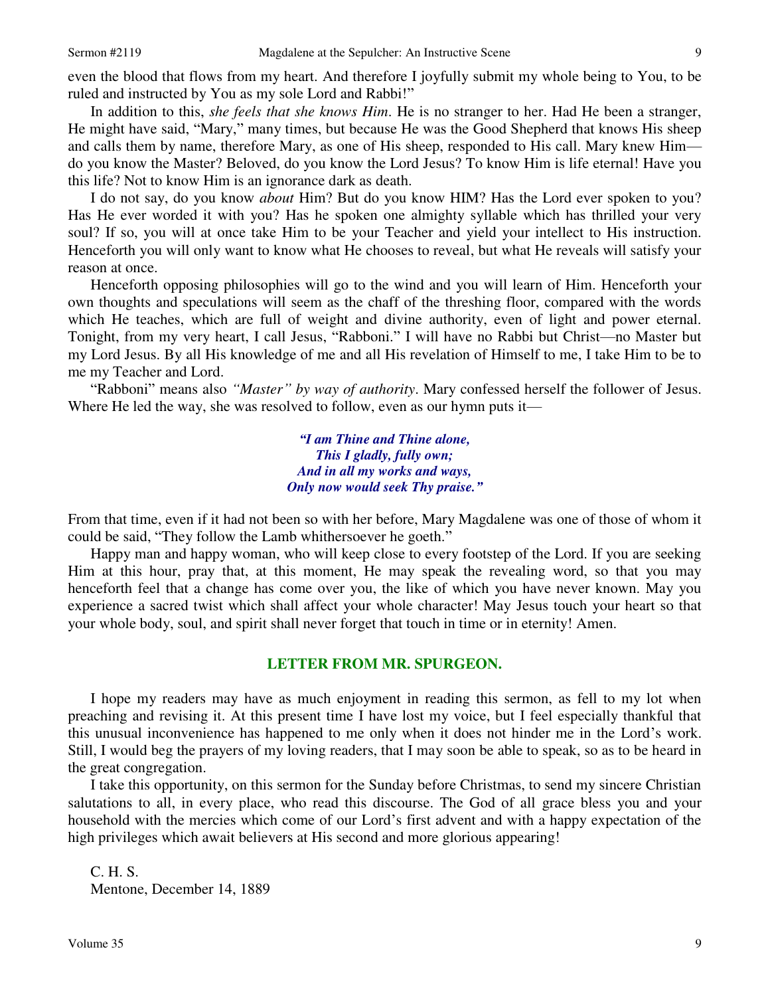even the blood that flows from my heart. And therefore I joyfully submit my whole being to You, to be ruled and instructed by You as my sole Lord and Rabbi!"

In addition to this, *she feels that she knows Him*. He is no stranger to her. Had He been a stranger, He might have said, "Mary," many times, but because He was the Good Shepherd that knows His sheep and calls them by name, therefore Mary, as one of His sheep, responded to His call. Mary knew Him do you know the Master? Beloved, do you know the Lord Jesus? To know Him is life eternal! Have you this life? Not to know Him is an ignorance dark as death.

I do not say, do you know *about* Him? But do you know HIM? Has the Lord ever spoken to you? Has He ever worded it with you? Has he spoken one almighty syllable which has thrilled your very soul? If so, you will at once take Him to be your Teacher and yield your intellect to His instruction. Henceforth you will only want to know what He chooses to reveal, but what He reveals will satisfy your reason at once.

Henceforth opposing philosophies will go to the wind and you will learn of Him. Henceforth your own thoughts and speculations will seem as the chaff of the threshing floor, compared with the words which He teaches, which are full of weight and divine authority, even of light and power eternal. Tonight, from my very heart, I call Jesus, "Rabboni." I will have no Rabbi but Christ—no Master but my Lord Jesus. By all His knowledge of me and all His revelation of Himself to me, I take Him to be to me my Teacher and Lord.

"Rabboni" means also *"Master" by way of authority*. Mary confessed herself the follower of Jesus. Where He led the way, she was resolved to follow, even as our hymn puts it—

> *"I am Thine and Thine alone, This I gladly, fully own; And in all my works and ways, Only now would seek Thy praise."*

From that time, even if it had not been so with her before, Mary Magdalene was one of those of whom it could be said, "They follow the Lamb whithersoever he goeth."

Happy man and happy woman, who will keep close to every footstep of the Lord. If you are seeking Him at this hour, pray that, at this moment, He may speak the revealing word, so that you may henceforth feel that a change has come over you, the like of which you have never known. May you experience a sacred twist which shall affect your whole character! May Jesus touch your heart so that your whole body, soul, and spirit shall never forget that touch in time or in eternity! Amen.

#### **LETTER FROM MR. SPURGEON.**

I hope my readers may have as much enjoyment in reading this sermon, as fell to my lot when preaching and revising it. At this present time I have lost my voice, but I feel especially thankful that this unusual inconvenience has happened to me only when it does not hinder me in the Lord's work. Still, I would beg the prayers of my loving readers, that I may soon be able to speak, so as to be heard in the great congregation.

I take this opportunity, on this sermon for the Sunday before Christmas, to send my sincere Christian salutations to all, in every place, who read this discourse. The God of all grace bless you and your household with the mercies which come of our Lord's first advent and with a happy expectation of the high privileges which await believers at His second and more glorious appearing!

C. H. S. Mentone, December 14, 1889